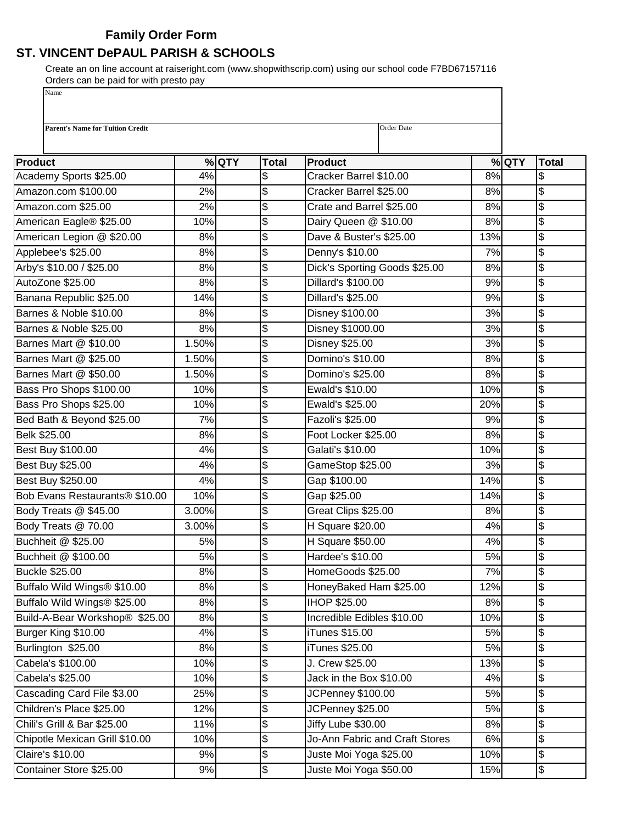## **Family Order Form**

## **ST. VINCENT DePAUL PARISH & SCHOOLS**

Create an on line account at raiseright.com (www.shopwithscrip.com) using our school code F7BD67157116 Orders can be paid for with presto pay Name

I

| <b>Parent's Name for Tuition Credit</b> |       |         |              | Order Date                           |     |         |               |
|-----------------------------------------|-------|---------|--------------|--------------------------------------|-----|---------|---------------|
|                                         |       |         |              |                                      |     |         |               |
| Product                                 |       | $%$ QTY | <b>Total</b> | <b>Product</b>                       |     | $%$ QTY | <b>Total</b>  |
| Academy Sports \$25.00                  | 4%    |         | \$           | 8%<br>Cracker Barrel \$10.00         |     |         | \$            |
| Amazon.com \$100.00                     | 2%    |         | \$           | Cracker Barrel \$25.00               |     | 8%      | \$            |
| Amazon.com \$25.00                      | 2%    |         | \$           | Crate and Barrel \$25.00             |     | 8%      | \$            |
| American Eagle® \$25.00                 | 10%   |         | \$           | Dairy Queen @ \$10.00<br>8%          |     |         | \$            |
| American Legion @ \$20.00               | 8%    |         | \$           | Dave & Buster's \$25.00<br>13%       |     |         | \$            |
| Applebee's \$25.00                      | 8%    |         | \$           | Denny's \$10.00<br>7%                |     |         | \$            |
| Arby's \$10.00 / \$25.00                | 8%    |         | \$           | Dick's Sporting Goods \$25.00<br>8%  |     |         | \$            |
| AutoZone \$25.00                        | 8%    |         | \$           | Dillard's \$100.00<br>9%             |     |         | \$            |
| Banana Republic \$25.00                 | 14%   |         | \$           | 9%<br>Dillard's \$25.00              |     |         | \$            |
| Barnes & Noble \$10.00                  | 8%    |         | \$           | Disney \$100.00<br>3%                |     |         | \$            |
| Barnes & Noble \$25.00                  | 8%    |         | \$           | Disney \$1000.00<br>3%               |     |         | \$            |
| Barnes Mart @ \$10.00                   | 1.50% |         | \$           | <b>Disney \$25.00</b><br>3%          |     |         | \$            |
| Barnes Mart @ \$25.00                   | 1.50% |         | \$           | Domino's \$10.00                     |     | 8%      | \$            |
| Barnes Mart @ \$50.00                   | 1.50% |         | \$           | Domino's \$25.00                     |     | 8%      | \$            |
| Bass Pro Shops \$100.00                 | 10%   |         | \$           | Ewald's \$10.00                      |     | 10%     | \$            |
| Bass Pro Shops \$25.00                  | 10%   |         | \$           | Ewald's \$25.00                      | 20% |         | \$            |
| Bed Bath & Beyond \$25.00               | 7%    |         | \$           | Fazoli's \$25.00                     | 9%  |         | \$            |
| Belk \$25.00                            | 8%    |         | \$           | Foot Locker \$25.00                  | 8%  |         | \$            |
| Best Buy \$100.00                       | 4%    |         | \$           | Galati's \$10.00                     | 10% |         | \$            |
| Best Buy \$25.00                        | 4%    |         | \$           | GameStop \$25.00                     |     | 3%      | \$            |
| Best Buy \$250.00                       | 4%    |         | \$           | Gap \$100.00                         |     | 14%     | \$            |
| Bob Evans Restaurants® \$10.00          | 10%   |         | \$           | 14%<br>Gap \$25.00                   |     |         | \$            |
| Body Treats @ \$45.00                   | 3.00% |         | \$           | Great Clips \$25.00                  |     | 8%      | \$            |
| Body Treats @ 70.00                     | 3.00% |         | \$           | H Square \$20.00<br>4%               |     |         | \$            |
| Buchheit @ \$25.00                      | 5%    |         | \$           | H Square \$50.00<br>4%               |     |         | \$            |
| Buchheit @ \$100.00                     | 5%    |         | \$           | Hardee's \$10.00<br>5%               |     |         | \$            |
| <b>Buckle \$25.00</b>                   | 8%    |         | \$           | HomeGoods \$25.00                    |     | 7%      | $\frac{3}{2}$ |
| Buffalo Wild Wings® \$10.00             | 8%    |         | \$           | HoneyBaked Ham \$25.00<br>12%        |     |         | \$            |
| Buffalo Wild Wings® \$25.00             | 8%    |         | \$           | <b>IHOP \$25.00</b>                  |     | 8%      | \$            |
| Build-A-Bear Workshop® \$25.00          | 8%    |         | \$           | Incredible Edibles \$10.00           | 10% |         | \$            |
| Burger King \$10.00                     | 4%    |         | \$           | iTunes \$15.00                       | 5%  |         | \$            |
| Burlington \$25.00                      | 8%    |         | \$           | iTunes \$25.00                       | 5%  |         | \$            |
| Cabela's \$100.00                       | 10%   |         | \$           | J. Crew \$25.00                      | 13% |         | \$            |
| Cabela's \$25.00                        | 10%   |         | \$           | Jack in the Box \$10.00              | 4%  |         | \$            |
| Cascading Card File \$3.00              | 25%   |         | \$           | JCPenney \$100.00                    | 5%  |         | \$            |
| Children's Place \$25.00                | 12%   |         | \$           | JCPenney \$25.00                     | 5%  |         | \$            |
| Chili's Grill & Bar \$25.00             | 11%   |         | \$           | Jiffy Lube \$30.00                   | 8%  |         | \$            |
| Chipotle Mexican Grill \$10.00          | 10%   |         | \$           | Jo-Ann Fabric and Craft Stores<br>6% |     |         | \$            |
| Claire's \$10.00                        | 9%    |         | \$           | Juste Moi Yoga \$25.00               | 10% |         | \$            |
| Container Store \$25.00                 | 9%    |         | \$           | Juste Moi Yoga \$50.00<br>15%        |     |         | \$            |